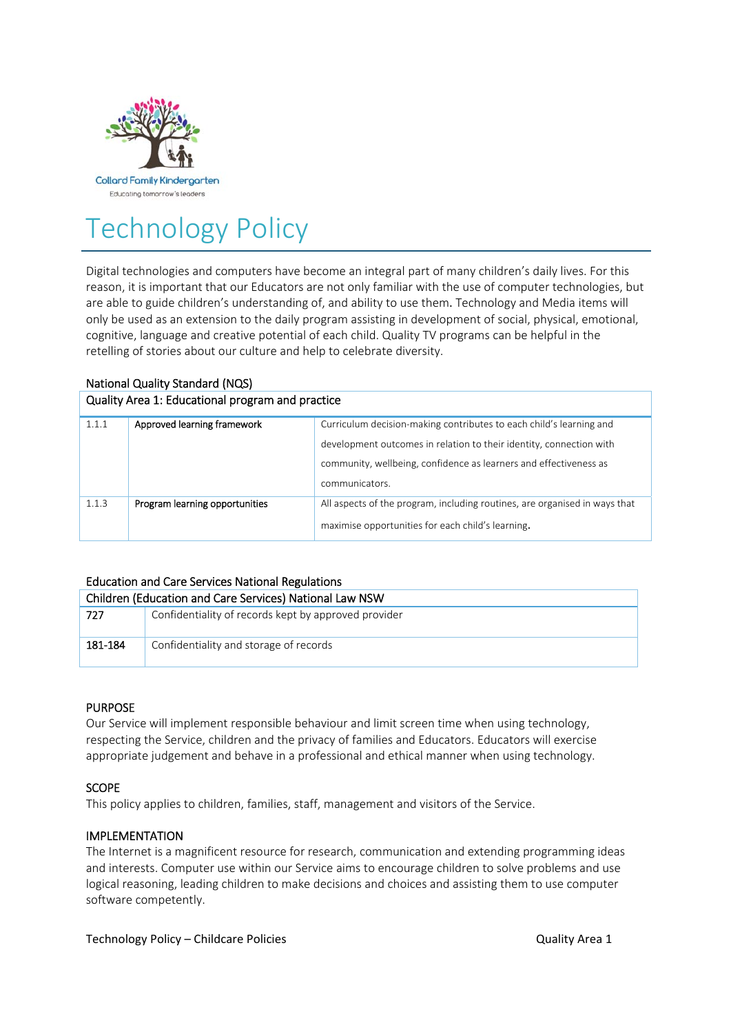

# Technology Policy

Digital technologies and computers have become an integral part of many children's daily lives. For this reason, it is important that our Educators are not only familiar with the use of computer technologies, but are able to guide children's understanding of, and ability to use them. Technology and Media items will only be used as an extension to the daily program assisting in development of social, physical, emotional, cognitive, language and creative potential of each child. Quality TV programs can be helpful in the retelling of stories about our culture and help to celebrate diversity.

# National Quality Standard (NQS)

#### Quality Area 1: Educational program and practice

| 1.1.1 | Approved learning framework    | Curriculum decision-making contributes to each child's learning and        |  |
|-------|--------------------------------|----------------------------------------------------------------------------|--|
|       |                                | development outcomes in relation to their identity, connection with        |  |
|       |                                | community, wellbeing, confidence as learners and effectiveness as          |  |
|       |                                | communicators.                                                             |  |
| 1.1.3 | Program learning opportunities | All aspects of the program, including routines, are organised in ways that |  |
|       |                                | maximise opportunities for each child's learning.                          |  |

# Education and Care Services National Regulations

| Children (Education and Care Services) National Law NSW |                                                      |  |  |
|---------------------------------------------------------|------------------------------------------------------|--|--|
| 727                                                     | Confidentiality of records kept by approved provider |  |  |
|                                                         |                                                      |  |  |
| 181-184                                                 | Confidentiality and storage of records               |  |  |
|                                                         |                                                      |  |  |

# PURPOSE

Our Service will implement responsible behaviour and limit screen time when using technology, respecting the Service, children and the privacy of families and Educators. Educators will exercise appropriate judgement and behave in a professional and ethical manner when using technology.

# SCOPE

This policy applies to children, families, staff, management and visitors of the Service.

# IMPLEMENTATION

The Internet is a magnificent resource for research, communication and extending programming ideas and interests. Computer use within our Service aims to encourage children to solve problems and use logical reasoning, leading children to make decisions and choices and assisting them to use computer software competently.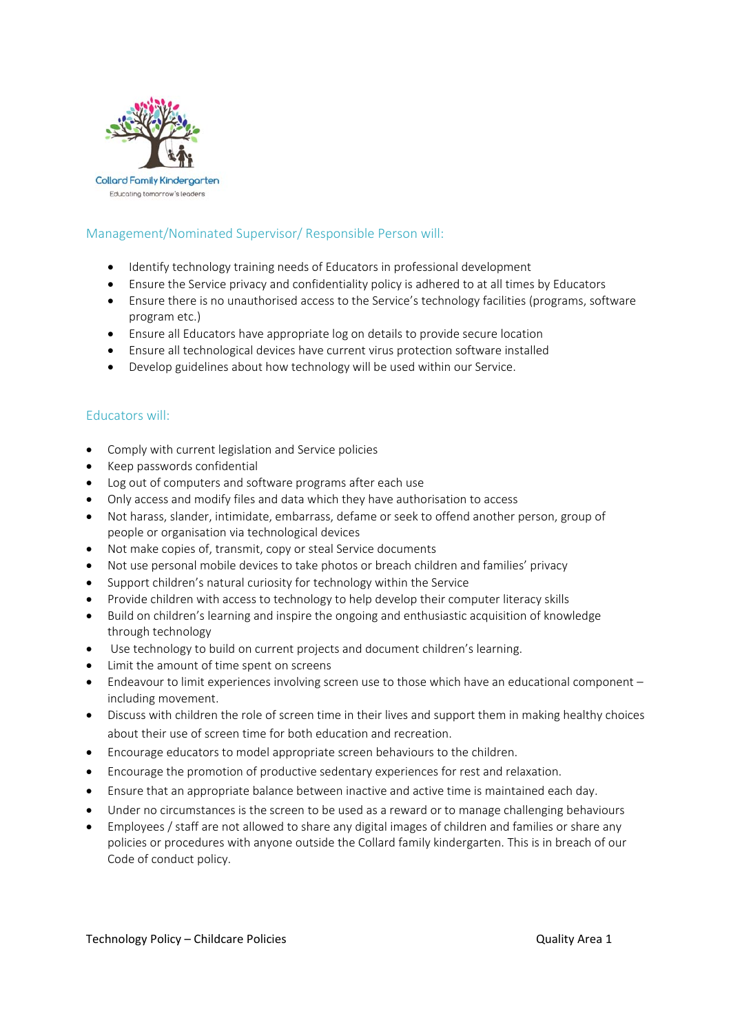

# Management/Nominated Supervisor/ Responsible Person will:

- Identify technology training needs of Educators in professional development
- Ensure the Service privacy and confidentiality policy is adhered to at all times by Educators
- Ensure there is no unauthorised access to the Service's technology facilities (programs, software program etc.)
- Ensure all Educators have appropriate log on details to provide secure location
- Ensure all technological devices have current virus protection software installed
- Develop guidelines about how technology will be used within our Service.

#### Educators will:

- Comply with current legislation and Service policies
- Keep passwords confidential
- Log out of computers and software programs after each use
- Only access and modify files and data which they have authorisation to access
- Not harass, slander, intimidate, embarrass, defame or seek to offend another person, group of people or organisation via technological devices
- Not make copies of, transmit, copy or steal Service documents
- Not use personal mobile devices to take photos or breach children and families' privacy
- Support children's natural curiosity for technology within the Service
- Provide children with access to technology to help develop their computer literacy skills
- Build on children's learning and inspire the ongoing and enthusiastic acquisition of knowledge through technology
- Use technology to build on current projects and document children's learning.
- Limit the amount of time spent on screens
- Endeavour to limit experiences involving screen use to those which have an educational component including movement.
- Discuss with children the role of screen time in their lives and support them in making healthy choices about their use of screen time for both education and recreation.
- Encourage educators to model appropriate screen behaviours to the children.
- Encourage the promotion of productive sedentary experiences for rest and relaxation.
- Ensure that an appropriate balance between inactive and active time is maintained each day.
- Under no circumstances is the screen to be used as a reward or to manage challenging behaviours
- Employees / staff are not allowed to share any digital images of children and families or share any policies or procedures with anyone outside the Collard family kindergarten. This is in breach of our Code of conduct policy.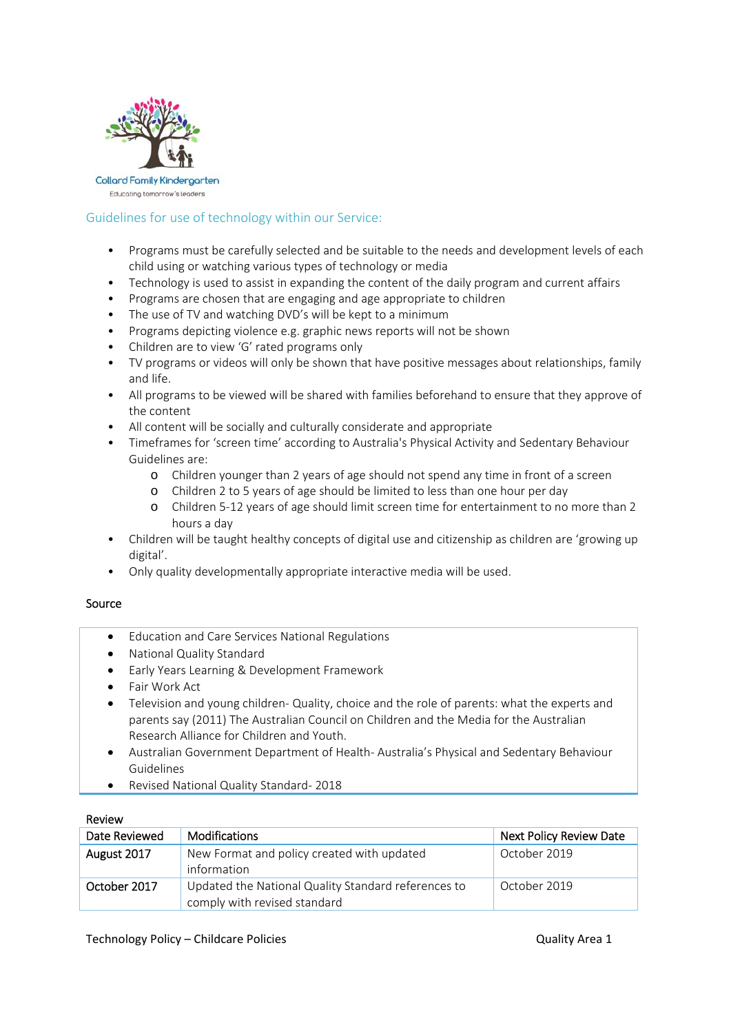

# Guidelines for use of technology within our Service:

- Programs must be carefully selected and be suitable to the needs and development levels of each child using or watching various types of technology or media
- Technology is used to assist in expanding the content of the daily program and current affairs
- Programs are chosen that are engaging and age appropriate to children
- The use of TV and watching DVD's will be kept to a minimum
- Programs depicting violence e.g. graphic news reports will not be shown
- Children are to view 'G' rated programs only
- TV programs or videos will only be shown that have positive messages about relationships, family and life.
- All programs to be viewed will be shared with families beforehand to ensure that they approve of the content
- All content will be socially and culturally considerate and appropriate
- Timeframes for 'screen time' according to Australia's Physical Activity and Sedentary Behaviour Guidelines are:
	- o Children younger than 2 years of age should not spend any time in front of a screen
	- o Children 2 to 5 years of age should be limited to less than one hour per day
	- o Children 5‐12 years of age should limit screen time for entertainment to no more than 2 hours a day
- Children will be taught healthy concepts of digital use and citizenship as children are 'growing up digital'.
- Only quality developmentally appropriate interactive media will be used.

#### Source

- Education and Care Services National Regulations
- National Quality Standard
- Early Years Learning & Development Framework
- Fair Work Act
- Television and young children- Quality, choice and the role of parents: what the experts and parents say (2011) The Australian Council on Children and the Media for the Australian Research Alliance for Children and Youth.
- Australian Government Department of Health‐ Australia's Physical and Sedentary Behaviour Guidelines
- Revised National Quality Standard-2018

#### Review

| Date Reviewed | <b>Modifications</b>                                                                | <b>Next Policy Review Date</b> |
|---------------|-------------------------------------------------------------------------------------|--------------------------------|
| August 2017   | New Format and policy created with updated<br>information                           | October 2019                   |
| October 2017  | Updated the National Quality Standard references to<br>comply with revised standard | October 2019                   |